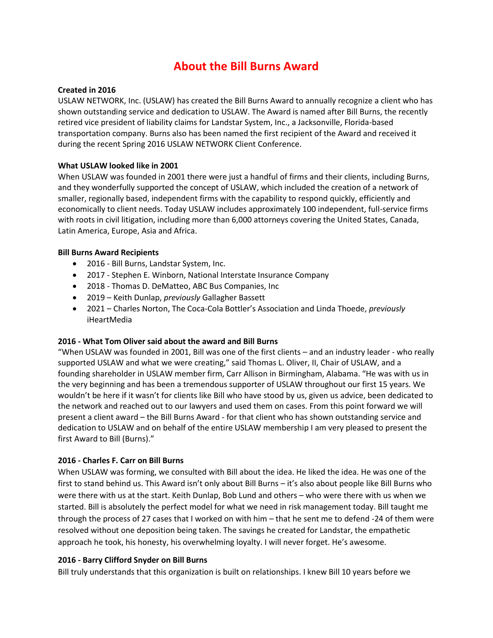# **About the Bill Burns Award**

#### **Created in 2016**

USLAW NETWORK, Inc. (USLAW) has created the Bill Burns Award to annually recognize a client who has shown outstanding service and dedication to USLAW. The Award is named after Bill Burns, the recently retired vice president of liability claims for Landstar System, Inc., a Jacksonville, Florida-based transportation company. Burns also has been named the first recipient of the Award and received it during the recent Spring 2016 USLAW NETWORK Client Conference.

# **What USLAW looked like in 2001**

When USLAW was founded in 2001 there were just a handful of firms and their clients, including Burns, and they wonderfully supported the concept of USLAW, which included the creation of a network of smaller, regionally based, independent firms with the capability to respond quickly, efficiently and economically to client needs. Today USLAW includes approximately 100 independent, full-service firms with roots in civil litigation, including more than 6,000 attorneys covering the United States, Canada, Latin America, Europe, Asia and Africa.

# **Bill Burns Award Recipients**

- 2016 Bill Burns, Landstar System, Inc.
- 2017 Stephen E. Winborn, National Interstate Insurance Company
- 2018 Thomas D. DeMatteo, ABC Bus Companies, Inc
- 2019 Keith Dunlap, *previously* Gallagher Bassett
- 2021 Charles Norton, The Coca-Cola Bottler's Association and Linda Thoede, *previously* iHeartMedia

#### **2016 - What Tom Oliver said about the award and Bill Burns**

"When USLAW was founded in 2001, Bill was one of the first clients – and an industry leader - who really supported USLAW and what we were creating," said Thomas L. Oliver, II, Chair of USLAW, and a founding shareholder in USLAW member firm, Carr Allison in Birmingham, Alabama. "He was with us in the very beginning and has been a tremendous supporter of USLAW throughout our first 15 years. We wouldn't be here if it wasn't for clients like Bill who have stood by us, given us advice, been dedicated to the network and reached out to our lawyers and used them on cases. From this point forward we will present a client award – the Bill Burns Award - for that client who has shown outstanding service and dedication to USLAW and on behalf of the entire USLAW membership I am very pleased to present the first Award to Bill (Burns)."

# **2016 - Charles F. Carr on Bill Burns**

When USLAW was forming, we consulted with Bill about the idea. He liked the idea. He was one of the first to stand behind us. This Award isn't only about Bill Burns – it's also about people like Bill Burns who were there with us at the start. Keith Dunlap, Bob Lund and others – who were there with us when we started. Bill is absolutely the perfect model for what we need in risk management today. Bill taught me through the process of 27 cases that I worked on with him – that he sent me to defend -24 of them were resolved without one deposition being taken. The savings he created for Landstar, the empathetic approach he took, his honesty, his overwhelming loyalty. I will never forget. He's awesome.

#### **2016 - Barry Clifford Snyder on Bill Burns**

Bill truly understands that this organization is built on relationships. I knew Bill 10 years before we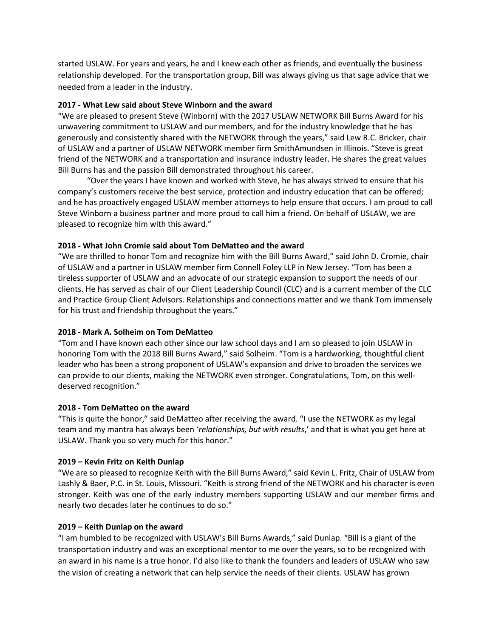started USLAW. For years and years, he and I knew each other as friends, and eventually the business relationship developed. For the transportation group, Bill was always giving us that sage advice that we needed from a leader in the industry.

#### **2017 - What Lew said about Steve Winborn and the award**

"We are pleased to present Steve (Winborn) with the 2017 USLAW NETWORK Bill Burns Award for his unwavering commitment to USLAW and our members, and for the industry knowledge that he has generously and consistently shared with the NETWORK through the years," said Lew R.C. Bricker, chair of USLAW and a partner of USLAW NETWORK member firm SmithAmundsen in Illinois. "Steve is great friend of the NETWORK and a transportation and insurance industry leader. He shares the great values Bill Burns has and the passion Bill demonstrated throughout his career.

"Over the years I have known and worked with Steve, he has always strived to ensure that his company's customers receive the best service, protection and industry education that can be offered; and he has proactively engaged USLAW member attorneys to help ensure that occurs. I am proud to call Steve Winborn a business partner and more proud to call him a friend. On behalf of USLAW, we are pleased to recognize him with this award."

#### **2018 - What John Cromie said about Tom DeMatteo and the award**

"We are thrilled to honor Tom and recognize him with the Bill Burns Award," said John D. Cromie, chair of USLAW and a partner in USLAW member firm Connell Foley LLP in New Jersey. "Tom has been a tireless supporter of USLAW and an advocate of our strategic expansion to support the needs of our clients. He has served as chair of our Client Leadership Council (CLC) and is a current member of the CLC and Practice Group Client Advisors. Relationships and connections matter and we thank Tom immensely for his trust and friendship throughout the years."

#### **2018 - Mark A. Solheim on Tom DeMatteo**

"Tom and I have known each other since our law school days and I am so pleased to join USLAW in honoring Tom with the 2018 Bill Burns Award," said Solheim. "Tom is a hardworking, thoughtful client leader who has been a strong proponent of USLAW's expansion and drive to broaden the services we can provide to our clients, making the NETWORK even stronger. Congratulations, Tom, on this welldeserved recognition."

#### **2018 - Tom DeMatteo on the award**

"This is quite the honor," said DeMatteo after receiving the award. "I use the NETWORK as my legal team and my mantra has always been '*relationships, but with results*,' and that is what you get here at USLAW. Thank you so very much for this honor."

#### **2019 – Kevin Fritz on Keith Dunlap**

"We are so pleased to recognize Keith with the Bill Burns Award," said Kevin L. Fritz, Chair of USLAW from Lashly & Baer, P.C. in St. Louis, Missouri. "Keith is strong friend of the NETWORK and his character is even stronger. Keith was one of the early industry members supporting USLAW and our member firms and nearly two decades later he continues to do so."

#### **2019 – Keith Dunlap on the award**

"I am humbled to be recognized with USLAW's Bill Burns Awards," said Dunlap. "Bill is a giant of the transportation industry and was an exceptional mentor to me over the years, so to be recognized with an award in his name is a true honor. I'd also like to thank the founders and leaders of USLAW who saw the vision of creating a network that can help service the needs of their clients. USLAW has grown